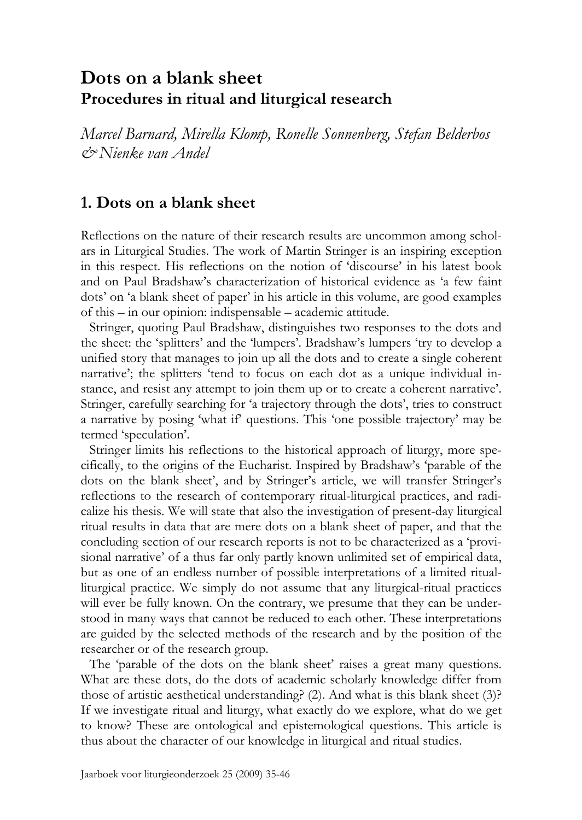# **Dots on a blank sheet Procedures in ritual and liturgical research**

*Marcel Barnard, Mirella Klomp, Ronelle Sonnenberg, Stefan Belderbos & Nienke van Andel* 

## **1. Dots on a blank sheet**

Reflections on the nature of their research results are uncommon among scholars in Liturgical Studies. The work of Martin Stringer is an inspiring exception in this respect. His reflections on the notion of 'discourse' in his latest book and on Paul Bradshaw's characterization of historical evidence as 'a few faint dots' on 'a blank sheet of paper' in his article in this volume, are good examples of this – in our opinion: indispensable – academic attitude.

 Stringer, quoting Paul Bradshaw, distinguishes two responses to the dots and the sheet: the 'splitters' and the 'lumpers'. Bradshaw's lumpers 'try to develop a unified story that manages to join up all the dots and to create a single coherent narrative'; the splitters 'tend to focus on each dot as a unique individual instance, and resist any attempt to join them up or to create a coherent narrative'. Stringer, carefully searching for 'a trajectory through the dots', tries to construct a narrative by posing 'what if' questions. This 'one possible trajectory' may be termed 'speculation'.

 Stringer limits his reflections to the historical approach of liturgy, more specifically, to the origins of the Eucharist. Inspired by Bradshaw's 'parable of the dots on the blank sheet', and by Stringer's article, we will transfer Stringer's reflections to the research of contemporary ritual-liturgical practices, and radicalize his thesis. We will state that also the investigation of present-day liturgical ritual results in data that are mere dots on a blank sheet of paper, and that the concluding section of our research reports is not to be characterized as a 'provisional narrative' of a thus far only partly known unlimited set of empirical data, but as one of an endless number of possible interpretations of a limited ritualliturgical practice. We simply do not assume that any liturgical-ritual practices will ever be fully known. On the contrary, we presume that they can be understood in many ways that cannot be reduced to each other. These interpretations are guided by the selected methods of the research and by the position of the researcher or of the research group.

 The 'parable of the dots on the blank sheet' raises a great many questions. What are these dots, do the dots of academic scholarly knowledge differ from those of artistic aesthetical understanding? (2). And what is this blank sheet (3)? If we investigate ritual and liturgy, what exactly do we explore, what do we get to know? These are ontological and epistemological questions. This article is thus about the character of our knowledge in liturgical and ritual studies.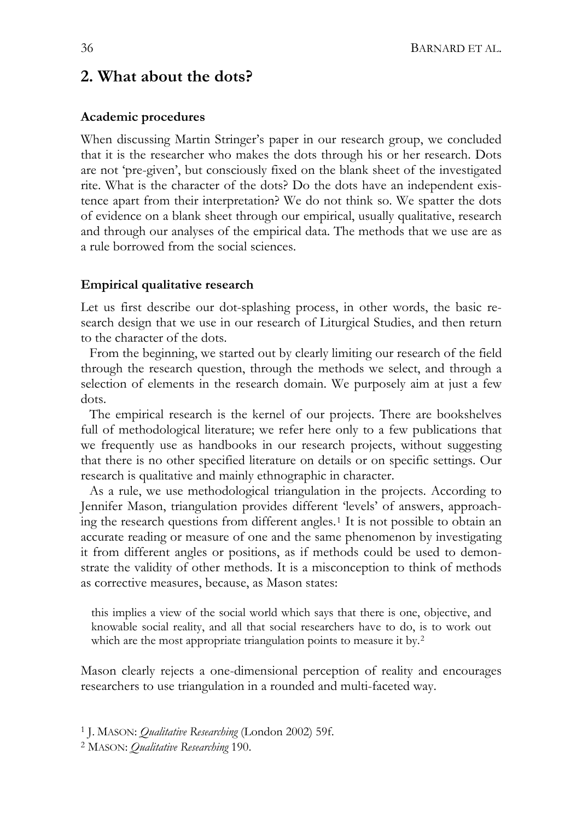36 BARNARD ET AL.

## **2. What about the dots?**

#### **Academic procedures**

When discussing Martin Stringer's paper in our research group, we concluded that it is the researcher who makes the dots through his or her research. Dots are not 'pre-given', but consciously fixed on the blank sheet of the investigated rite. What is the character of the dots? Do the dots have an independent existence apart from their interpretation? We do not think so. We spatter the dots of evidence on a blank sheet through our empirical, usually qualitative, research and through our analyses of the empirical data. The methods that we use are as a rule borrowed from the social sciences.

### **Empirical qualitative research**

Let us first describe our dot-splashing process, in other words, the basic research design that we use in our research of Liturgical Studies, and then return to the character of the dots.

 From the beginning, we started out by clearly limiting our research of the field through the research question, through the methods we select, and through a selection of elements in the research domain. We purposely aim at just a few dots.

 The empirical research is the kernel of our projects. There are bookshelves full of methodological literature; we refer here only to a few publications that we frequently use as handbooks in our research projects, without suggesting that there is no other specified literature on details or on specific settings. Our research is qualitative and mainly ethnographic in character.

 As a rule, we use methodological triangulation in the projects. According to Jennifer Mason, triangulation provides different 'levels' of answers, approaching the research questions from different angles.[1](#page-1-0) It is not possible to obtain an accurate reading or measure of one and the same phenomenon by investigating it from different angles or positions, as if methods could be used to demonstrate the validity of other methods. It is a misconception to think of methods as corrective measures, because, as Mason states:

this implies a view of the social world which says that there is one, objective, and knowable social reality, and all that social researchers have to do, is to work out which are the most appropriate triangulation points to measure it by.<sup>[2](#page-1-1)</sup>

Mason clearly rejects a one-dimensional perception of reality and encourages researchers to use triangulation in a rounded and multi-faceted way.

<span id="page-1-0"></span>1 J. MASON: *Qualitative Researching* (London 2002) 59f.

<span id="page-1-1"></span>2 MASON: *Qualitative Researching* 190.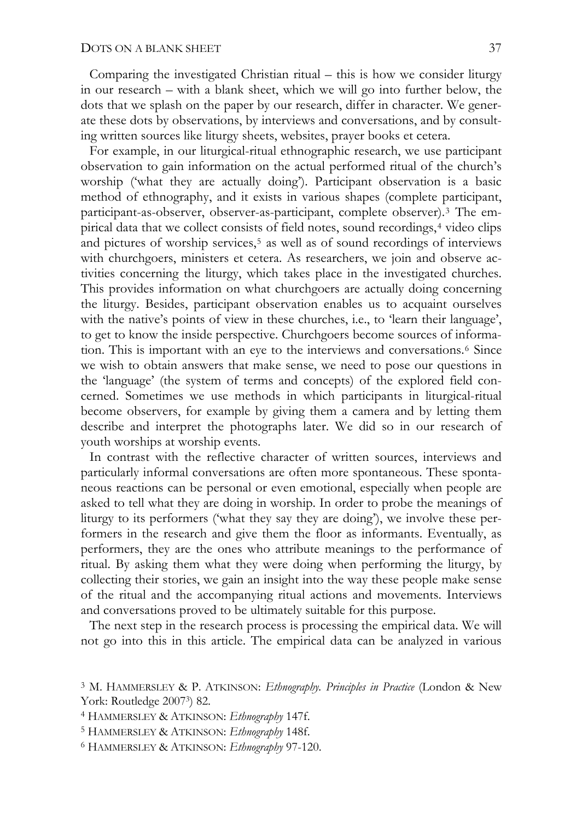Comparing the investigated Christian ritual – this is how we consider liturgy in our research – with a blank sheet, which we will go into further below, the dots that we splash on the paper by our research, differ in character. We generate these dots by observations, by interviews and conversations, and by consulting written sources like liturgy sheets, websites, prayer books et cetera.

 For example, in our liturgical-ritual ethnographic research, we use participant observation to gain information on the actual performed ritual of the church's worship ('what they are actually doing'). Participant observation is a basic method of ethnography, and it exists in various shapes (complete participant, participant-as-observer, observer-as-participant, complete observer).[3](#page-2-0) The empirical data that we collect consists of field notes, sound recordings,[4](#page-2-1) video clips and pictures of worship services,<sup>[5](#page-2-2)</sup> as well as of sound recordings of interviews with churchgoers, ministers et cetera. As researchers, we join and observe activities concerning the liturgy, which takes place in the investigated churches. This provides information on what churchgoers are actually doing concerning the liturgy. Besides, participant observation enables us to acquaint ourselves with the native's points of view in these churches, i.e., to 'learn their language', to get to know the inside perspective. Churchgoers become sources of information. This is important with an eye to the interviews and conversations.[6](#page-2-3) Since we wish to obtain answers that make sense, we need to pose our questions in the 'language' (the system of terms and concepts) of the explored field concerned. Sometimes we use methods in which participants in liturgical-ritual become observers, for example by giving them a camera and by letting them describe and interpret the photographs later. We did so in our research of youth worships at worship events.

 In contrast with the reflective character of written sources, interviews and particularly informal conversations are often more spontaneous. These spontaneous reactions can be personal or even emotional, especially when people are asked to tell what they are doing in worship. In order to probe the meanings of liturgy to its performers ('what they say they are doing'), we involve these performers in the research and give them the floor as informants. Eventually, as performers, they are the ones who attribute meanings to the performance of ritual. By asking them what they were doing when performing the liturgy, by collecting their stories, we gain an insight into the way these people make sense of the ritual and the accompanying ritual actions and movements. Interviews and conversations proved to be ultimately suitable for this purpose.

 The next step in the research process is processing the empirical data. We will not go into this in this article. The empirical data can be analyzed in various

<span id="page-2-0"></span><sup>3</sup> M. HAMMERSLEY & P. ATKINSON: *Ethnography. Principles in Practice* (London & New York: Routledge 20073) 82.

<span id="page-2-1"></span><sup>4</sup> HAMMERSLEY & ATKINSON: *Ethnography* 147f.

<span id="page-2-2"></span><sup>5</sup> HAMMERSLEY & ATKINSON: *Ethnography* 148f.

<span id="page-2-3"></span><sup>6</sup> HAMMERSLEY & ATKINSON: *Ethnography* 97-120.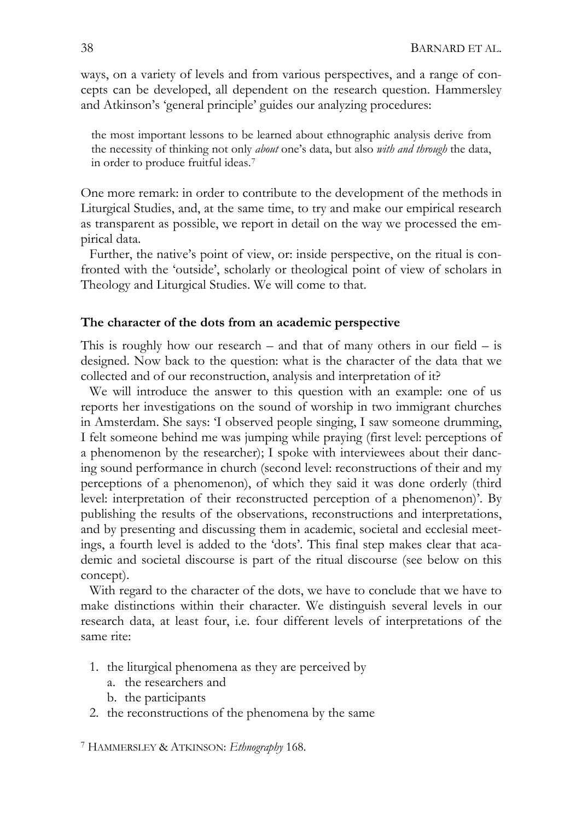ways, on a variety of levels and from various perspectives, and a range of concepts can be developed, all dependent on the research question. Hammersley and Atkinson's 'general principle' guides our analyzing procedures:

the most important lessons to be learned about ethnographic analysis derive from the necessity of thinking not only *about* one's data, but also *with and through* the data, in order to produce fruitful ideas.[7](#page-3-0)

One more remark: in order to contribute to the development of the methods in Liturgical Studies, and, at the same time, to try and make our empirical research as transparent as possible, we report in detail on the way we processed the empirical data.

 Further, the native's point of view, or: inside perspective, on the ritual is confronted with the 'outside', scholarly or theological point of view of scholars in Theology and Liturgical Studies. We will come to that.

#### **The character of the dots from an academic perspective**

This is roughly how our research – and that of many others in our field – is designed. Now back to the question: what is the character of the data that we collected and of our reconstruction, analysis and interpretation of it?

 We will introduce the answer to this question with an example: one of us reports her investigations on the sound of worship in two immigrant churches in Amsterdam. She says: 'I observed people singing, I saw someone drumming, I felt someone behind me was jumping while praying (first level: perceptions of a phenomenon by the researcher); I spoke with interviewees about their dancing sound performance in church (second level: reconstructions of their and my perceptions of a phenomenon), of which they said it was done orderly (third level: interpretation of their reconstructed perception of a phenomenon)'. By publishing the results of the observations, reconstructions and interpretations, and by presenting and discussing them in academic, societal and ecclesial meetings, a fourth level is added to the 'dots'. This final step makes clear that academic and societal discourse is part of the ritual discourse (see below on this concept).

 With regard to the character of the dots, we have to conclude that we have to make distinctions within their character. We distinguish several levels in our research data, at least four, i.e. four different levels of interpretations of the same rite:

- 1. the liturgical phenomena as they are perceived by
	- a. the researchers and
	- b. the participants
- 2. the reconstructions of the phenomena by the same

<span id="page-3-0"></span>7 HAMMERSLEY & ATKINSON: *Ethnography* 168.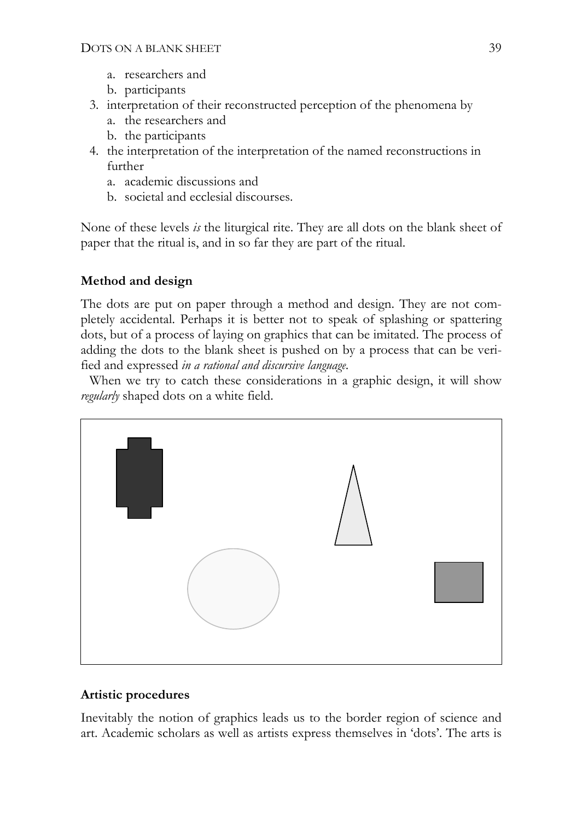- a. researchers and
- b. participants
- 3. interpretation of their reconstructed perception of the phenomena by
	- a. the researchers and
	- b. the participants
- 4. the interpretation of the interpretation of the named reconstructions in further
	- a. academic discussions and
	- b. societal and ecclesial discourses.

None of these levels *is* the liturgical rite. They are all dots on the blank sheet of paper that the ritual is, and in so far they are part of the ritual.

### **Method and design**

The dots are put on paper through a method and design. They are not completely accidental. Perhaps it is better not to speak of splashing or spattering dots, but of a process of laying on graphics that can be imitated. The process of adding the dots to the blank sheet is pushed on by a process that can be verified and expressed *in a rational and discursive language*.

 When we try to catch these considerations in a graphic design, it will show *regularly* shaped dots on a white field.



### **Artistic procedures**

Inevitably the notion of graphics leads us to the border region of science and art. Academic scholars as well as artists express themselves in 'dots'. The arts is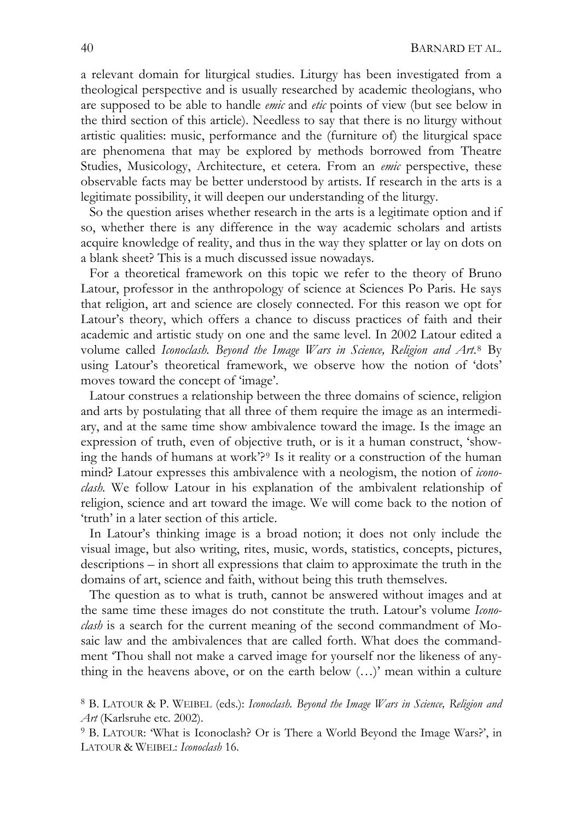a relevant domain for liturgical studies. Liturgy has been investigated from a theological perspective and is usually researched by academic theologians, who are supposed to be able to handle *emic* and *etic* points of view (but see below in the third section of this article). Needless to say that there is no liturgy without artistic qualities: music, performance and the (furniture of) the liturgical space are phenomena that may be explored by methods borrowed from Theatre Studies, Musicology, Architecture, et cetera. From an *emic* perspective, these observable facts may be better understood by artists. If research in the arts is a legitimate possibility, it will deepen our understanding of the liturgy.

 So the question arises whether research in the arts is a legitimate option and if so, whether there is any difference in the way academic scholars and artists acquire knowledge of reality, and thus in the way they splatter or lay on dots on a blank sheet? This is a much discussed issue nowadays.

 For a theoretical framework on this topic we refer to the theory of Bruno Latour, professor in the anthropology of science at Sciences Po Paris. He says that religion, art and science are closely connected. For this reason we opt for Latour's theory, which offers a chance to discuss practices of faith and their academic and artistic study on one and the same level. In 2002 Latour edited a volume called *Iconoclash. Beyond the Image Wars in Science, Religion and Art*.[8](#page-5-0) By using Latour's theoretical framework, we observe how the notion of 'dots' moves toward the concept of 'image'.

 Latour construes a relationship between the three domains of science, religion and arts by postulating that all three of them require the image as an intermediary, and at the same time show ambivalence toward the image. Is the image an expression of truth, even of objective truth, or is it a human construct, 'showing the hands of humans at work'?[9](#page-5-1) Is it reality or a construction of the human mind? Latour expresses this ambivalence with a neologism, the notion of *iconoclash.* We follow Latour in his explanation of the ambivalent relationship of religion, science and art toward the image. We will come back to the notion of 'truth' in a later section of this article.

 In Latour's thinking image is a broad notion; it does not only include the visual image, but also writing, rites, music, words, statistics, concepts, pictures, descriptions – in short all expressions that claim to approximate the truth in the domains of art, science and faith, without being this truth themselves.

 The question as to what is truth, cannot be answered without images and at the same time these images do not constitute the truth. Latour's volume *Iconoclash* is a search for the current meaning of the second commandment of Mosaic law and the ambivalences that are called forth. What does the commandment 'Thou shall not make a carved image for yourself nor the likeness of anything in the heavens above, or on the earth below (…)' mean within a culture

<span id="page-5-0"></span><sup>8</sup> B. LATOUR & P. WEIBEL (eds.): *Iconoclash. Beyond the Image Wars in Science, Religion and Art* (Karlsruhe etc. 2002).

<span id="page-5-1"></span><sup>9</sup> B. LATOUR: 'What is Iconoclash? Or is There a World Beyond the Image Wars?', in LATOUR & WEIBEL: *Iconoclash* 16.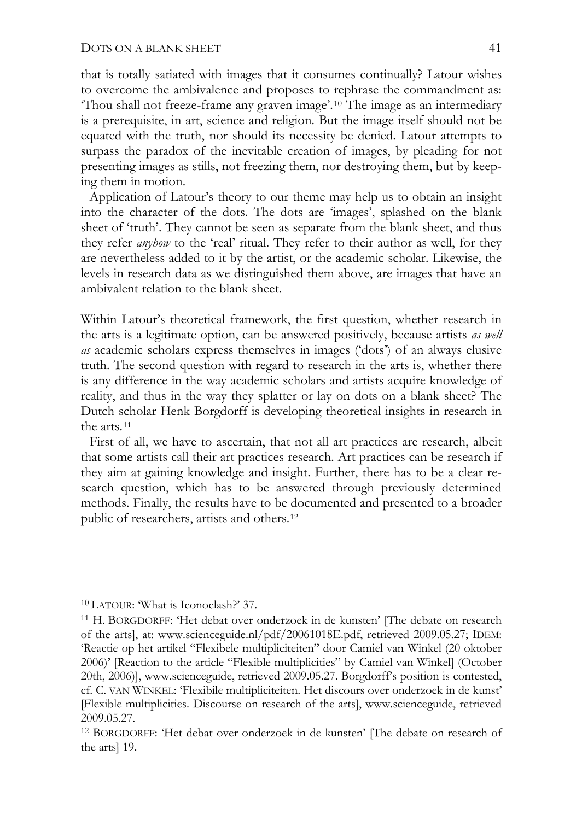that is totally satiated with images that it consumes continually? Latour wishes to overcome the ambivalence and proposes to rephrase the commandment as: 'Thou shall not freeze-frame any graven image'.[10](#page-6-0) The image as an intermediary is a prerequisite, in art, science and religion. But the image itself should not be equated with the truth, nor should its necessity be denied. Latour attempts to surpass the paradox of the inevitable creation of images, by pleading for not presenting images as stills, not freezing them, nor destroying them, but by keeping them in motion.

 Application of Latour's theory to our theme may help us to obtain an insight into the character of the dots. The dots are 'images', splashed on the blank sheet of 'truth'. They cannot be seen as separate from the blank sheet, and thus they refer *anyhow* to the 'real' ritual. They refer to their author as well, for they are nevertheless added to it by the artist, or the academic scholar. Likewise, the levels in research data as we distinguished them above, are images that have an ambivalent relation to the blank sheet.

Within Latour's theoretical framework, the first question, whether research in the arts is a legitimate option, can be answered positively, because artists *as well as* academic scholars express themselves in images ('dots') of an always elusive truth. The second question with regard to research in the arts is, whether there is any difference in the way academic scholars and artists acquire knowledge of reality, and thus in the way they splatter or lay on dots on a blank sheet? The Dutch scholar Henk Borgdorff is developing theoretical insights in research in the arts.[11](#page-6-1)

 First of all, we have to ascertain, that not all art practices are research, albeit that some artists call their art practices research. Art practices can be research if they aim at gaining knowledge and insight. Further, there has to be a clear research question, which has to be answered through previously determined methods. Finally, the results have to be documented and presented to a broader public of researchers, artists and others.[12](#page-6-2)

<span id="page-6-1"></span><span id="page-6-0"></span><sup>10</sup> LATOUR: 'What is Iconoclash?' 37.<br><sup>11</sup> H. BORGDORFF: 'Het debat over onderzoek in de kunsten' [The debate on research of the arts], at: www.scienceguide.nl/pdf/20061018E.pdf, retrieved 2009.05.27; IDEM: 'Reactie op het artikel "Flexibele multipliciteiten" door Camiel van Winkel (20 oktober 2006)' [Reaction to the article "Flexible multiplicities" by Camiel van Winkel] (October 20th, 2006)], www.scienceguide, retrieved 2009.05.27. Borgdorff's position is contested, cf. C. VAN WINKEL: 'Flexibile multipliciteiten. Het discours over onderzoek in de kunst' [Flexible multiplicities. Discourse on research of the arts], www.scienceguide, retrieved 2009.05.27.

<span id="page-6-2"></span>12 BORGDORFF: 'Het debat over onderzoek in de kunsten' [The debate on research of the arts] 19.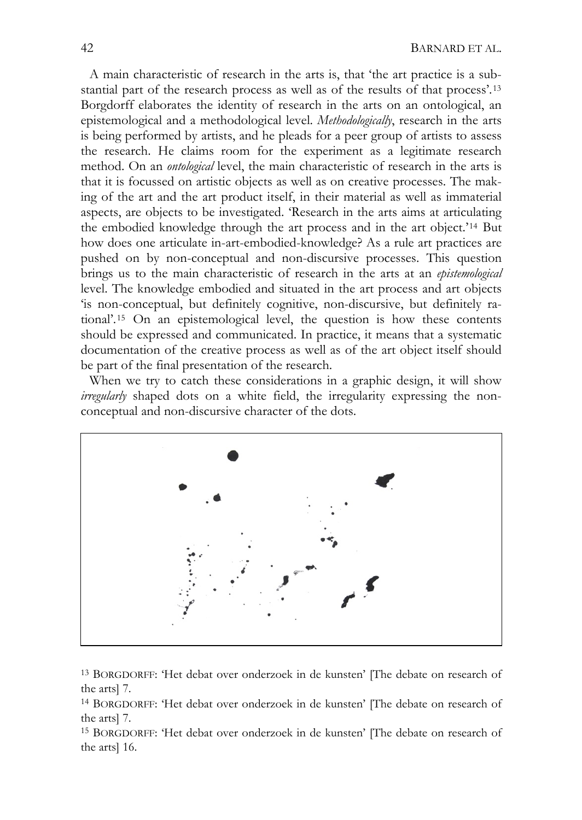A main characteristic of research in the arts is, that 'the art practice is a substantial part of the research process as well as of the results of that process'.[13](#page-7-0) Borgdorff elaborates the identity of research in the arts on an ontological, an epistemological and a methodological level. *Methodologically*, research in the arts is being performed by artists, and he pleads for a peer group of artists to assess the research. He claims room for the experiment as a legitimate research method. On an *ontological* level, the main characteristic of research in the arts is that it is focussed on artistic objects as well as on creative processes. The making of the art and the art product itself, in their material as well as immaterial aspects, are objects to be investigated. 'Research in the arts aims at articulating the embodied knowledge through the art process and in the art object.'[14](#page-7-1) But how does one articulate in-art-embodied-knowledge? As a rule art practices are pushed on by non-conceptual and non-discursive processes. This question brings us to the main characteristic of research in the arts at an *epistemological* level. The knowledge embodied and situated in the art process and art objects 'is non-conceptual, but definitely cognitive, non-discursive, but definitely rational'.[15](#page-7-2) On an epistemological level, the question is how these contents should be expressed and communicated. In practice, it means that a systematic documentation of the creative process as well as of the art object itself should be part of the final presentation of the research.

When we try to catch these considerations in a graphic design, it will show *irregularly* shaped dots on a white field, the irregularity expressing the nonconceptual and non-discursive character of the dots.



<span id="page-7-0"></span>13 BORGDORFF: 'Het debat over onderzoek in de kunsten' [The debate on research of the arts] 7.

<span id="page-7-1"></span>14 BORGDORFF: 'Het debat over onderzoek in de kunsten' [The debate on research of the arts] 7.

<span id="page-7-2"></span>15 BORGDORFF: 'Het debat over onderzoek in de kunsten' [The debate on research of the arts] 16.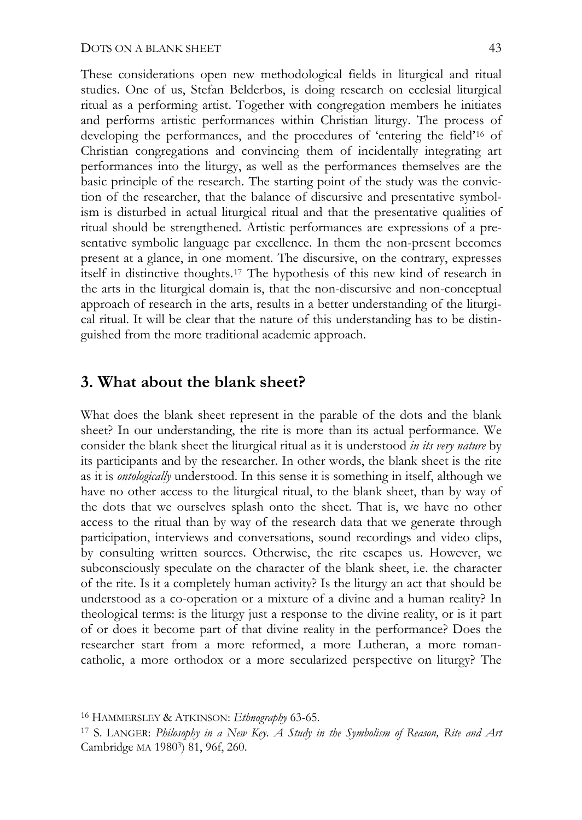These considerations open new methodological fields in liturgical and ritual studies. One of us, Stefan Belderbos, is doing research on ecclesial liturgical ritual as a performing artist. Together with congregation members he initiates and performs artistic performances within Christian liturgy. The process of developing the performances, and the procedures of 'entering the field'[16](#page-8-0) of Christian congregations and convincing them of incidentally integrating art performances into the liturgy, as well as the performances themselves are the basic principle of the research. The starting point of the study was the conviction of the researcher, that the balance of discursive and presentative symbolism is disturbed in actual liturgical ritual and that the presentative qualities of ritual should be strengthened. Artistic performances are expressions of a presentative symbolic language par excellence. In them the non-present becomes present at a glance, in one moment. The discursive, on the contrary, expresses itself in distinctive thoughts.[17](#page-8-1) The hypothesis of this new kind of research in the arts in the liturgical domain is, that the non-discursive and non-conceptual approach of research in the arts, results in a better understanding of the liturgical ritual. It will be clear that the nature of this understanding has to be distinguished from the more traditional academic approach.

## **3. What about the blank sheet?**

What does the blank sheet represent in the parable of the dots and the blank sheet? In our understanding, the rite is more than its actual performance. We consider the blank sheet the liturgical ritual as it is understood *in its very nature* by its participants and by the researcher. In other words, the blank sheet is the rite as it is *ontologically* understood. In this sense it is something in itself, although we have no other access to the liturgical ritual, to the blank sheet, than by way of the dots that we ourselves splash onto the sheet. That is, we have no other access to the ritual than by way of the research data that we generate through participation, interviews and conversations, sound recordings and video clips, by consulting written sources. Otherwise, the rite escapes us. However, we subconsciously speculate on the character of the blank sheet, i.e. the character of the rite. Is it a completely human activity? Is the liturgy an act that should be understood as a co-operation or a mixture of a divine and a human reality? In theological terms: is the liturgy just a response to the divine reality, or is it part of or does it become part of that divine reality in the performance? Does the researcher start from a more reformed, a more Lutheran, a more romancatholic, a more orthodox or a more secularized perspective on liturgy? The

<span id="page-8-0"></span><sup>16</sup> HAMMERSLEY & ATKINSON: *Ethnography* 63-65.

<span id="page-8-1"></span><sup>17</sup> S. LANGER: *Philosophy in a New Key. A Study in the Symbolism of Reason, Rite and Art* Cambridge MA 19803) 81, 96f, 260.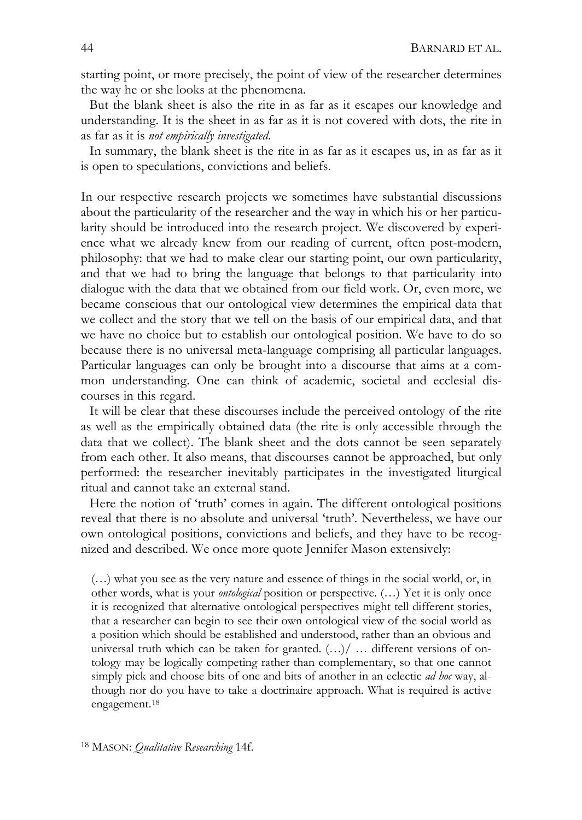starting point, or more precisely, the point of view of the researcher determines the way he or she looks at the phenomena.

 But the blank sheet is also the rite in as far as it escapes our knowledge and understanding. It is the sheet in as far as it is not covered with dots, the rite in as far as it is *not empirically investigated*.

 In summary, the blank sheet is the rite in as far as it escapes us, in as far as it is open to speculations, convictions and beliefs.

In our respective research projects we sometimes have substantial discussions about the particularity of the researcher and the way in which his or her particularity should be introduced into the research project. We discovered by experience what we already knew from our reading of current, often post-modern, philosophy: that we had to make clear our starting point, our own particularity, and that we had to bring the language that belongs to that particularity into dialogue with the data that we obtained from our field work. Or, even more, we became conscious that our ontological view determines the empirical data that we collect and the story that we tell on the basis of our empirical data, and that we have no choice but to establish our ontological position. We have to do so because there is no universal meta-language comprising all particular languages. Particular languages can only be brought into a discourse that aims at a common understanding. One can think of academic, societal and ecclesial discourses in this regard.

 It will be clear that these discourses include the perceived ontology of the rite as well as the empirically obtained data (the rite is only accessible through the data that we collect). The blank sheet and the dots cannot be seen separately from each other. It also means, that discourses cannot be approached, but only performed: the researcher inevitably participates in the investigated liturgical ritual and cannot take an external stand.

 Here the notion of 'truth' comes in again. The different ontological positions reveal that there is no absolute and universal 'truth'. Nevertheless, we have our own ontological positions, convictions and beliefs, and they have to be recognized and described. We once more quote Jennifer Mason extensively:

<span id="page-9-0"></span>(…) what you see as the very nature and essence of things in the social world, or, in other words, what is your *ontological* position or perspective. (…) Yet it is only once it is recognized that alternative ontological perspectives might tell different stories, that a researcher can begin to see their own ontological view of the social world as a position which should be established and understood, rather than an obvious and universal truth which can be taken for granted.  $(...)/$  ... different versions of ontology may be logically competing rather than complementary, so that one cannot simply pick and choose bits of one and bits of another in an eclectic *ad hoc* way, although nor do you have to take a doctrinaire approach. What is required is active engagement.[18](#page-9-0)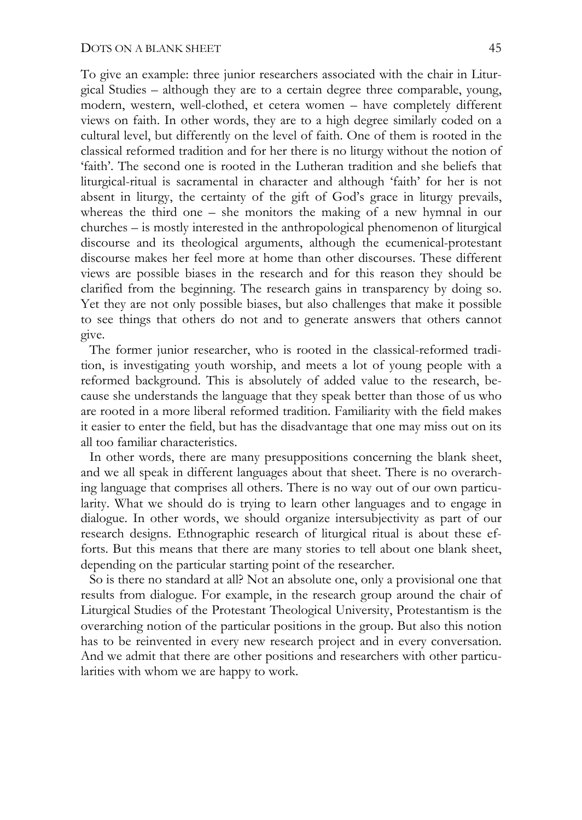To give an example: three junior researchers associated with the chair in Liturgical Studies – although they are to a certain degree three comparable, young, modern, western, well-clothed, et cetera women – have completely different views on faith. In other words, they are to a high degree similarly coded on a cultural level, but differently on the level of faith. One of them is rooted in the classical reformed tradition and for her there is no liturgy without the notion of 'faith'. The second one is rooted in the Lutheran tradition and she beliefs that liturgical-ritual is sacramental in character and although 'faith' for her is not absent in liturgy, the certainty of the gift of God's grace in liturgy prevails, whereas the third one – she monitors the making of a new hymnal in our churches – is mostly interested in the anthropological phenomenon of liturgical discourse and its theological arguments, although the ecumenical-protestant discourse makes her feel more at home than other discourses. These different views are possible biases in the research and for this reason they should be clarified from the beginning. The research gains in transparency by doing so. Yet they are not only possible biases, but also challenges that make it possible to see things that others do not and to generate answers that others cannot give.

 The former junior researcher, who is rooted in the classical-reformed tradition, is investigating youth worship, and meets a lot of young people with a reformed background. This is absolutely of added value to the research, because she understands the language that they speak better than those of us who are rooted in a more liberal reformed tradition. Familiarity with the field makes it easier to enter the field, but has the disadvantage that one may miss out on its all too familiar characteristics.

 In other words, there are many presuppositions concerning the blank sheet, and we all speak in different languages about that sheet. There is no overarching language that comprises all others. There is no way out of our own particularity. What we should do is trying to learn other languages and to engage in dialogue. In other words, we should organize intersubjectivity as part of our research designs. Ethnographic research of liturgical ritual is about these efforts. But this means that there are many stories to tell about one blank sheet, depending on the particular starting point of the researcher.

 So is there no standard at all? Not an absolute one, only a provisional one that results from dialogue. For example, in the research group around the chair of Liturgical Studies of the Protestant Theological University, Protestantism is the overarching notion of the particular positions in the group. But also this notion has to be reinvented in every new research project and in every conversation. And we admit that there are other positions and researchers with other particularities with whom we are happy to work.